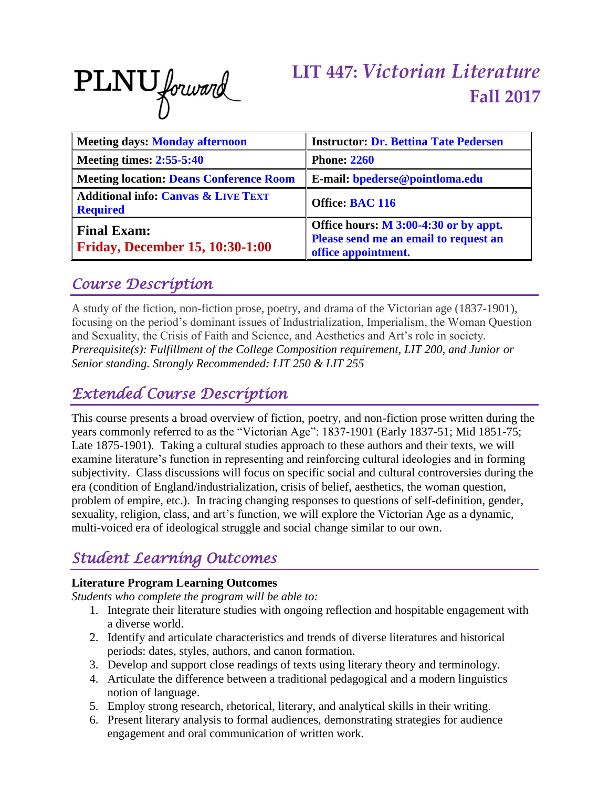

# **LIT 447:** *Victorian Literature* **Fall 2017**

| <b>Meeting days: Monday afternoon</b>                             | <b>Instructor: Dr. Bettina Tate Pedersen</b>                                                            |  |  |  |  |
|-------------------------------------------------------------------|---------------------------------------------------------------------------------------------------------|--|--|--|--|
| <b>Meeting times: 2:55-5:40</b>                                   | <b>Phone: 2260</b>                                                                                      |  |  |  |  |
| <b>Meeting location: Deans Conference Room</b>                    | E-mail: bpederse@pointloma.edu                                                                          |  |  |  |  |
| <b>Additional info: Canvas &amp; LIVE TEXT</b><br><b>Required</b> | Office: BAC 116                                                                                         |  |  |  |  |
| <b>Final Exam:</b><br><b>Friday, December 15, 10:30-1:00</b>      | Office hours: $M$ 3:00-4:30 or by appt.<br>Please send me an email to request an<br>office appointment. |  |  |  |  |

### *Course Description*

A study of the fiction, non-fiction prose, poetry, and drama of the Victorian age (1837-1901), focusing on the period's dominant issues of Industrialization, Imperialism, the Woman Question and Sexuality, the Crisis of Faith and Science, and Aesthetics and Art's role in society. *Prerequisite(s): Fulfillment of the College Composition requirement, LIT 200, and Junior or Senior standing. Strongly Recommended: LIT 250 & LIT 255*

### *Extended Course Description*

This course presents a broad overview of fiction, poetry, and non-fiction prose written during the years commonly referred to as the "Victorian Age": 1837-1901 (Early 1837-51; Mid 1851-75; Late 1875-1901). Taking a cultural studies approach to these authors and their texts, we will examine literature's function in representing and reinforcing cultural ideologies and in forming subjectivity. Class discussions will focus on specific social and cultural controversies during the era (condition of England/industrialization, crisis of belief, aesthetics, the woman question, problem of empire, etc.). In tracing changing responses to questions of self-definition, gender, sexuality, religion, class, and art's function, we will explore the Victorian Age as a dynamic, multi-voiced era of ideological struggle and social change similar to our own.

## *Student Learning Outcomes*

### **Literature Program Learning Outcomes**

*Students who complete the program will be able to:*

- 1. Integrate their literature studies with ongoing reflection and hospitable engagement with a diverse world.
- 2. Identify and articulate characteristics and trends of diverse literatures and historical periods: dates, styles, authors, and canon formation.
- 3. Develop and support close readings of texts using literary theory and terminology.
- 4. Articulate the difference between a traditional pedagogical and a modern linguistics notion of language.
- 5. Employ strong research, rhetorical, literary, and analytical skills in their writing.
- 6. Present literary analysis to formal audiences, demonstrating strategies for audience engagement and oral communication of written work.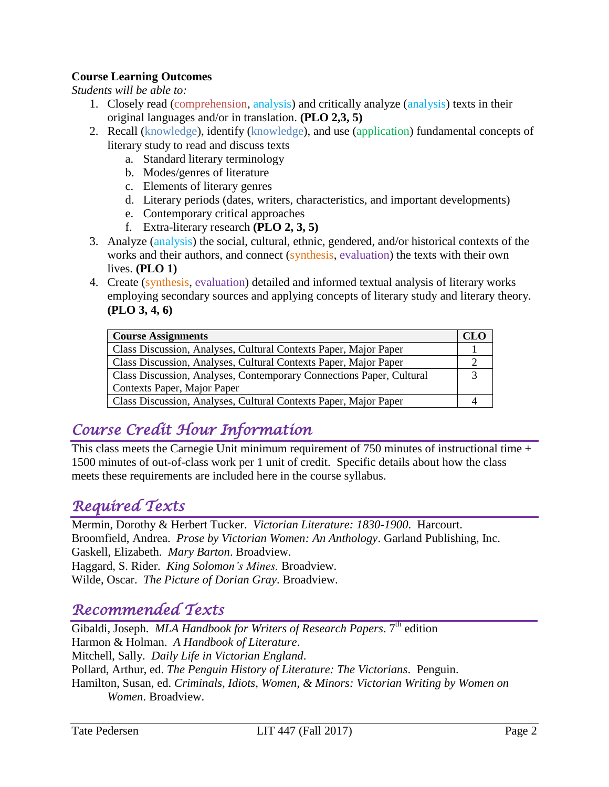### **Course Learning Outcomes**

*Students will be able to:*

- 1. Closely read (comprehension, analysis) and critically analyze (analysis) texts in their original languages and/or in translation. **(PLO 2,3, 5)**
- 2. Recall (knowledge), identify (knowledge), and use (application) fundamental concepts of literary study to read and discuss texts
	- a. Standard literary terminology
	- b. Modes/genres of literature
	- c. Elements of literary genres
	- d. Literary periods (dates, writers, characteristics, and important developments)
	- e. Contemporary critical approaches
	- f. Extra-literary research **(PLO 2, 3, 5)**
- 3. Analyze (analysis) the social, cultural, ethnic, gendered, and/or historical contexts of the works and their authors, and connect (synthesis, evaluation) the texts with their own lives. **(PLO 1)**
- 4. Create (synthesis, evaluation) detailed and informed textual analysis of literary works employing secondary sources and applying concepts of literary study and literary theory. **(PLO 3, 4, 6)**

| <b>Course Assignments</b>                                            |  |  |  |  |  |
|----------------------------------------------------------------------|--|--|--|--|--|
| Class Discussion, Analyses, Cultural Contexts Paper, Major Paper     |  |  |  |  |  |
| Class Discussion, Analyses, Cultural Contexts Paper, Major Paper     |  |  |  |  |  |
| Class Discussion, Analyses, Contemporary Connections Paper, Cultural |  |  |  |  |  |
| Contexts Paper, Major Paper                                          |  |  |  |  |  |
| Class Discussion, Analyses, Cultural Contexts Paper, Major Paper     |  |  |  |  |  |

## *Course Credit Hour Information*

This class meets the Carnegie Unit minimum requirement of 750 minutes of instructional time + 1500 minutes of out-of-class work per 1 unit of credit. Specific details about how the class meets these requirements are included here in the course syllabus.

### *Required Texts*

Mermin, Dorothy & Herbert Tucker. *Victorian Literature: 1830-1900*. Harcourt. Broomfield, Andrea. *Prose by Victorian Women: An Anthology*. Garland Publishing, Inc. Gaskell, Elizabeth. *Mary Barton*. Broadview. Haggard, S. Rider. *King Solomon's Mines.* Broadview. Wilde, Oscar. *The Picture of Dorian Gray*. Broadview.

### *Recommended Texts*

Gibaldi, Joseph. *MLA Handbook for Writers of Research Papers*. 7<sup>th</sup> edition Harmon & Holman. *A Handbook of Literature*. Mitchell, Sally. *Daily Life in Victorian England*. Pollard, Arthur, ed. *The Penguin History of Literature: The Victorians*. Penguin. Hamilton, Susan, ed. *Criminals, Idiots, Women, & Minors: Victorian Writing by Women on Women*. Broadview.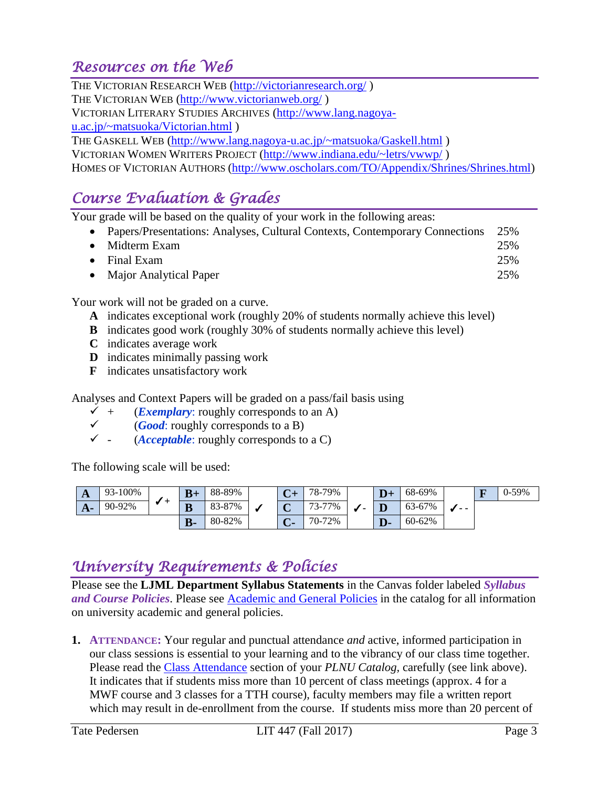## *Resources on the Web*

THE VICTORIAN RESEARCH WEB [\(http://victorianresearch.org/](http://victorianresearch.org/) ) THE VICTORIAN WEB [\(http://www.victorianweb.org/](http://www.victorianweb.org/) ) VICTORIAN LITERARY STUDIES ARCHIVES [\(http://www.lang.nagoya](http://www.lang.nagoya-u.ac.jp/~matsuoka/Victorian.html)[u.ac.jp/~matsuoka/Victorian.html](http://www.lang.nagoya-u.ac.jp/~matsuoka/Victorian.html) ) THE GASKELL WEB [\(http://www.lang.nagoya-u.ac.jp/~matsuoka/Gaskell.html](http://www.lang.nagoya-u.ac.jp/~matsuoka/Gaskell.html) ) VICTORIAN WOMEN WRITERS PROJECT [\(http://www.indiana.edu/~letrs/vwwp/](http://www.indiana.edu/~letrs/vwwp/) ) HOMES OF VICTORIAN AUTHORS [\(http://www.oscholars.com/TO/Appendix/Shrines/Shrines.html\)](http://www.oscholars.com/TO/Appendix/Shrines/Shrines.html)

## *Course Evaluation & Grades*

Your grade will be based on the quality of your work in the following areas:

| • Papers/Presentations: Analyses, Cultural Contexts, Contemporary Connections 25% |                            |
|-----------------------------------------------------------------------------------|----------------------------|
| $\bullet$ Midterm Exam                                                            | 25%                        |
|                                                                                   | $\bigcap_{n\in\mathbb{N}}$ |

- Final Exam 25%
- Major Analytical Paper 25%

Your work will not be graded on a curve.

- **A** indicates exceptional work (roughly 20% of students normally achieve this level)
- **B** indicates good work (roughly 30% of students normally achieve this level)
- **C** indicates average work
- **D** indicates minimally passing work
- **F** indicates unsatisfactory work

Analyses and Context Papers will be graded on a pass/fail basis using

- $\checkmark$  + (*Exemplary*: roughly corresponds to an A)
- $\checkmark$  (*Good*: roughly corresponds to a B)
- $\checkmark$  (*Acceptable*: roughly corresponds to a C)

The following scale will be used:

| $\mathbf{A}$ | 93-100% |  | $B+$  | 88-89% | $\sim$                       | 78-79%          | $\overline{D}+$ | 68-69% | $ -$ | $\overline{\mathbf{F}}$ | $0-59%$ |
|--------------|---------|--|-------|--------|------------------------------|-----------------|-----------------|--------|------|-------------------------|---------|
| А.           | 90-92%  |  | B     | 83-87% | $\overline{\mathbf{C}}$<br>◡ | 73-77%          |                 | 63-67% |      |                         |         |
|              |         |  | $B -$ | 80-82% | $\mathbf{\Omega}$            | $-72%$<br>$70-$ | D-              | 60-62% |      |                         |         |

## *University Requirements & Policies*

Please see the **LJML Department Syllabus Statements** in the Canvas folder labeled *Syllabus and Course Policies*. Please see [Academic and General Policies](https://catalog.pointloma.edu/content.php?catoid=28&navoid=1761) in the catalog for all information on university academic and general policies.

**1. ATTENDANCE:** Your regular and punctual attendance *and* active, informed participation in our class sessions is essential to your learning and to the vibrancy of our class time together. Please read the [Class Attendance](https://catalog.pointloma.edu/content.php?catoid=28&navoid=1761#Class_Attendance) section of your *PLNU Catalog,* carefully (see link above). It indicates that if students miss more than 10 percent of class meetings (approx. 4 for a MWF course and 3 classes for a TTH course), faculty members may file a written report which may result in de-enrollment from the course. If students miss more than 20 percent of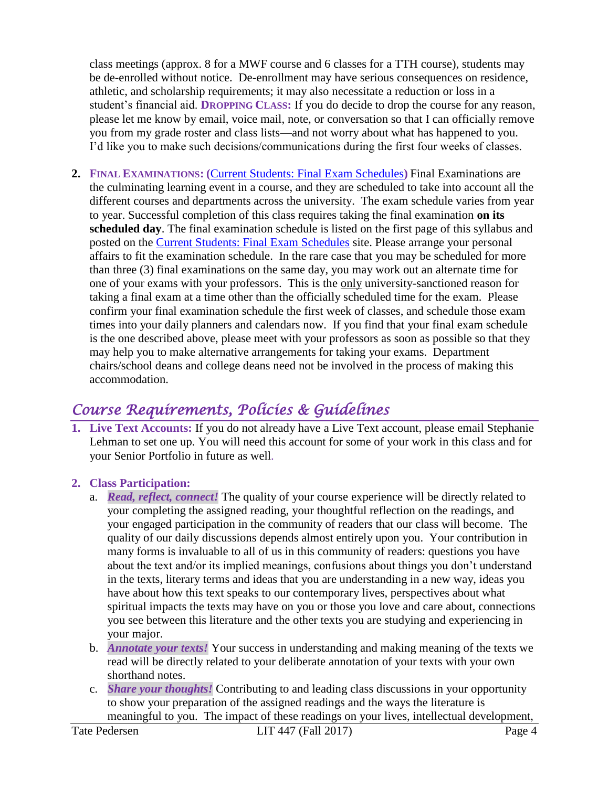class meetings (approx. 8 for a MWF course and 6 classes for a TTH course), students may be de-enrolled without notice. De-enrollment may have serious consequences on residence, athletic, and scholarship requirements; it may also necessitate a reduction or loss in a student's financial aid. **DROPPING CLASS:** If you do decide to drop the course for any reason, please let me know by email, voice mail, note, or conversation so that I can officially remove you from my grade roster and class lists—and not worry about what has happened to you. I'd like you to make such decisions/communications during the first four weeks of classes.

**2. FINAL EXAMINATIONS: (**[Current Students: Final Exam Schedules](https://www.pointloma.edu/current-students)**)** Final Examinations are the culminating learning event in a course, and they are scheduled to take into account all the different courses and departments across the university. The exam schedule varies from year to year. Successful completion of this class requires taking the final examination **on its scheduled day**. The final examination schedule is listed on the first page of this syllabus and posted on the [Current Students: Final Exam Schedules](https://www.pointloma.edu/current-students) site. Please arrange your personal affairs to fit the examination schedule. In the rare case that you may be scheduled for more than three (3) final examinations on the same day, you may work out an alternate time for one of your exams with your professors. This is the only university-sanctioned reason for taking a final exam at a time other than the officially scheduled time for the exam. Please confirm your final examination schedule the first week of classes, and schedule those exam times into your daily planners and calendars now. If you find that your final exam schedule is the one described above, please meet with your professors as soon as possible so that they may help you to make alternative arrangements for taking your exams. Department chairs/school deans and college deans need not be involved in the process of making this accommodation.

## *Course Requirements, Policies & Guidelines*

**1. Live Text Accounts:** If you do not already have a Live Text account, please email Stephanie Lehman to set one up. You will need this account for some of your work in this class and for your Senior Portfolio in future as well.

### **2. Class Participation:**

- a. *Read, reflect, connect!* The quality of your course experience will be directly related to your completing the assigned reading, your thoughtful reflection on the readings, and your engaged participation in the community of readers that our class will become. The quality of our daily discussions depends almost entirely upon you. Your contribution in many forms is invaluable to all of us in this community of readers: questions you have about the text and/or its implied meanings, confusions about things you don't understand in the texts, literary terms and ideas that you are understanding in a new way, ideas you have about how this text speaks to our contemporary lives, perspectives about what spiritual impacts the texts may have on you or those you love and care about, connections you see between this literature and the other texts you are studying and experiencing in your major.
- b. *Annotate your texts!* Your success in understanding and making meaning of the texts we read will be directly related to your deliberate annotation of your texts with your own shorthand notes.
- c. *Share your thoughts!* Contributing to and leading class discussions in your opportunity to show your preparation of the assigned readings and the ways the literature is meaningful to you. The impact of these readings on your lives, intellectual development,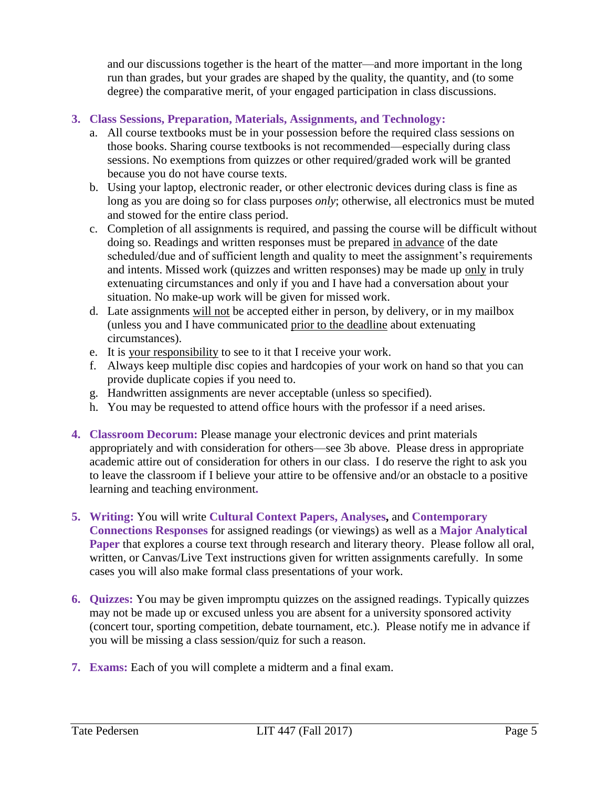and our discussions together is the heart of the matter—and more important in the long run than grades, but your grades are shaped by the quality, the quantity, and (to some degree) the comparative merit, of your engaged participation in class discussions.

### **3. Class Sessions, Preparation, Materials, Assignments, and Technology:**

- a. All course textbooks must be in your possession before the required class sessions on those books. Sharing course textbooks is not recommended—especially during class sessions. No exemptions from quizzes or other required/graded work will be granted because you do not have course texts.
- b. Using your laptop, electronic reader, or other electronic devices during class is fine as long as you are doing so for class purposes *only*; otherwise, all electronics must be muted and stowed for the entire class period.
- c. Completion of all assignments is required, and passing the course will be difficult without doing so. Readings and written responses must be prepared in advance of the date scheduled/due and of sufficient length and quality to meet the assignment's requirements and intents. Missed work (quizzes and written responses) may be made up only in truly extenuating circumstances and only if you and I have had a conversation about your situation. No make-up work will be given for missed work.
- d. Late assignments will not be accepted either in person, by delivery, or in my mailbox (unless you and I have communicated prior to the deadline about extenuating circumstances).
- e. It is your responsibility to see to it that I receive your work.
- f. Always keep multiple disc copies and hardcopies of your work on hand so that you can provide duplicate copies if you need to.
- g. Handwritten assignments are never acceptable (unless so specified).
- h. You may be requested to attend office hours with the professor if a need arises.
- **4. Classroom Decorum:** Please manage your electronic devices and print materials appropriately and with consideration for others—see 3b above. Please dress in appropriate academic attire out of consideration for others in our class. I do reserve the right to ask you to leave the classroom if I believe your attire to be offensive and/or an obstacle to a positive learning and teaching environment**.**
- **5. Writing:** You will write **Cultural Context Papers, Analyses,** and **Contemporary Connections Responses** for assigned readings (or viewings) as well as a **Major Analytical Paper** that explores a course text through research and literary theory. Please follow all oral, written, or Canvas/Live Text instructions given for written assignments carefully. In some cases you will also make formal class presentations of your work.
- **6. Quizzes:** You may be given impromptu quizzes on the assigned readings. Typically quizzes may not be made up or excused unless you are absent for a university sponsored activity (concert tour, sporting competition, debate tournament, etc.). Please notify me in advance if you will be missing a class session/quiz for such a reason.
- **7. Exams:** Each of you will complete a midterm and a final exam.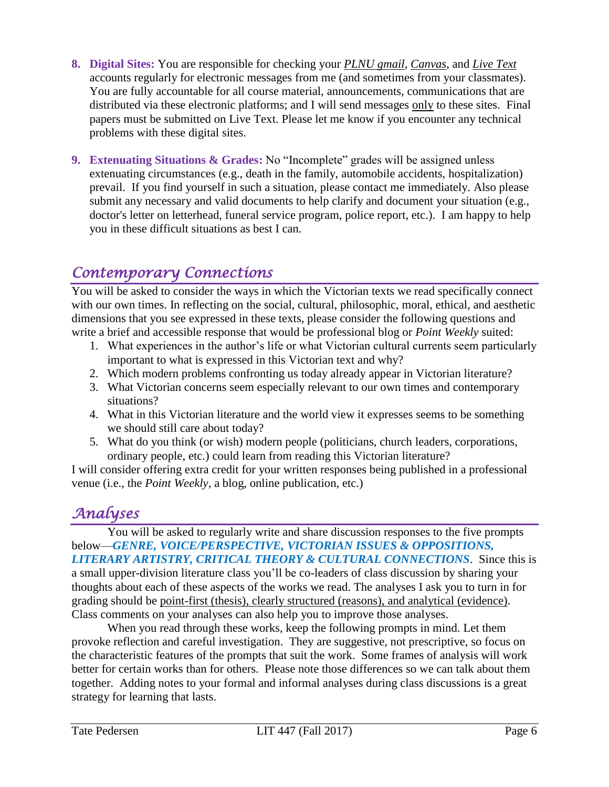- **8. Digital Sites:** You are responsible for checking your *PLNU gmail*, *Canvas*, and *Live Text* accounts regularly for electronic messages from me (and sometimes from your classmates). You are fully accountable for all course material, announcements, communications that are distributed via these electronic platforms; and I will send messages only to these sites. Final papers must be submitted on Live Text. Please let me know if you encounter any technical problems with these digital sites.
- **9. Extenuating Situations & Grades:** No "Incomplete" grades will be assigned unless extenuating circumstances (e.g., death in the family, automobile accidents, hospitalization) prevail. If you find yourself in such a situation, please contact me immediately. Also please submit any necessary and valid documents to help clarify and document your situation (e.g., doctor's letter on letterhead, funeral service program, police report, etc.). I am happy to help you in these difficult situations as best I can.

### *Contemporary Connections*

You will be asked to consider the ways in which the Victorian texts we read specifically connect with our own times. In reflecting on the social, cultural, philosophic, moral, ethical, and aesthetic dimensions that you see expressed in these texts, please consider the following questions and write a brief and accessible response that would be professional blog or *Point Weekly* suited:

- 1. What experiences in the author's life or what Victorian cultural currents seem particularly important to what is expressed in this Victorian text and why?
- 2. Which modern problems confronting us today already appear in Victorian literature?
- 3. What Victorian concerns seem especially relevant to our own times and contemporary situations?
- 4. What in this Victorian literature and the world view it expresses seems to be something we should still care about today?
- 5. What do you think (or wish) modern people (politicians, church leaders, corporations, ordinary people, etc.) could learn from reading this Victorian literature?

I will consider offering extra credit for your written responses being published in a professional venue (i.e., the *Point Weekly*, a blog, online publication, etc.)

## *Analyses*

You will be asked to regularly write and share discussion responses to the five prompts below—*GENRE, VOICE/PERSPECTIVE, VICTORIAN ISSUES & OPPOSITIONS, LITERARY ARTISTRY, CRITICAL THEORY & CULTURAL CONNECTIONS*. Since this is a small upper-division literature class you'll be co-leaders of class discussion by sharing your thoughts about each of these aspects of the works we read. The analyses I ask you to turn in for grading should be point-first (thesis), clearly structured (reasons), and analytical (evidence). Class comments on your analyses can also help you to improve those analyses.

When you read through these works, keep the following prompts in mind. Let them provoke reflection and careful investigation. They are suggestive, not prescriptive, so focus on the characteristic features of the prompts that suit the work. Some frames of analysis will work better for certain works than for others. Please note those differences so we can talk about them together. Adding notes to your formal and informal analyses during class discussions is a great strategy for learning that lasts.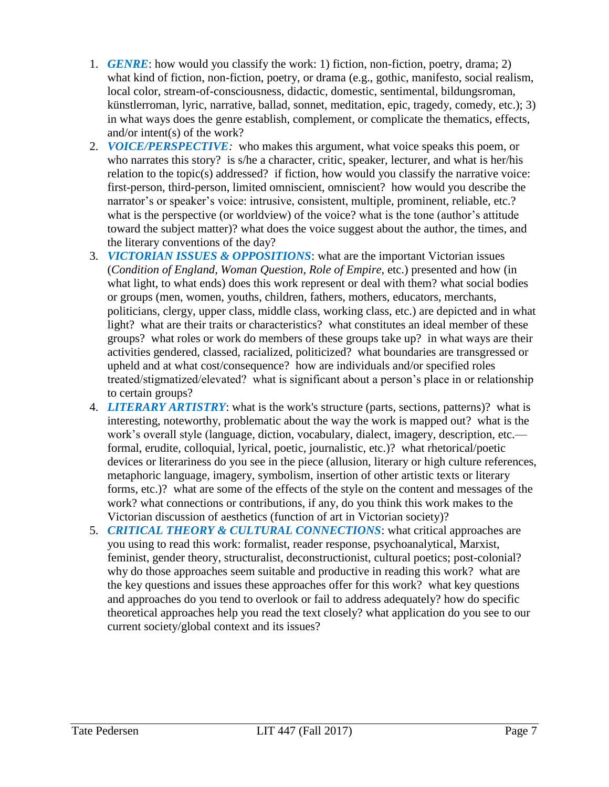- 1. *GENRE*: how would you classify the work: 1) fiction, non-fiction, poetry, drama; 2) what kind of fiction, non-fiction, poetry, or drama (e.g., gothic, manifesto, social realism, local color, stream-of-consciousness, didactic, domestic, sentimental, bildungsroman, künstlerroman, lyric, narrative, ballad, sonnet, meditation, epic, tragedy, comedy, etc.); 3) in what ways does the genre establish, complement, or complicate the thematics, effects, and/or intent(s) of the work?
- 2. *VOICE/PERSPECTIVE:* who makes this argument, what voice speaks this poem, or who narrates this story? is s/he a character, critic, speaker, lecturer, and what is her/his relation to the topic(s) addressed? if fiction, how would you classify the narrative voice: first-person, third-person, limited omniscient, omniscient? how would you describe the narrator's or speaker's voice: intrusive, consistent, multiple, prominent, reliable, etc.? what is the perspective (or worldview) of the voice? what is the tone (author's attitude toward the subject matter)? what does the voice suggest about the author, the times, and the literary conventions of the day?
- 3. *VICTORIAN ISSUES & OPPOSITIONS*: what are the important Victorian issues (*Condition of England, Woman Question, Role of Empire*, etc.) presented and how (in what light, to what ends) does this work represent or deal with them? what social bodies or groups (men, women, youths, children, fathers, mothers, educators, merchants, politicians, clergy, upper class, middle class, working class, etc.) are depicted and in what light? what are their traits or characteristics? what constitutes an ideal member of these groups? what roles or work do members of these groups take up? in what ways are their activities gendered, classed, racialized, politicized? what boundaries are transgressed or upheld and at what cost/consequence? how are individuals and/or specified roles treated/stigmatized/elevated? what is significant about a person's place in or relationship to certain groups?
- 4. *LITERARY ARTISTRY*: what is the work's structure (parts, sections, patterns)? what is interesting, noteworthy, problematic about the way the work is mapped out? what is the work's overall style (language, diction, vocabulary, dialect, imagery, description, etc. formal, erudite, colloquial, lyrical, poetic, journalistic, etc.)? what rhetorical/poetic devices or literariness do you see in the piece (allusion, literary or high culture references, metaphoric language, imagery, symbolism, insertion of other artistic texts or literary forms, etc.)? what are some of the effects of the style on the content and messages of the work? what connections or contributions, if any, do you think this work makes to the Victorian discussion of aesthetics (function of art in Victorian society)?
- 5. *CRITICAL THEORY & CULTURAL CONNECTIONS*: what critical approaches are you using to read this work: formalist, reader response, psychoanalytical, Marxist, feminist, gender theory, structuralist, deconstructionist, cultural poetics; post-colonial? why do those approaches seem suitable and productive in reading this work? what are the key questions and issues these approaches offer for this work? what key questions and approaches do you tend to overlook or fail to address adequately? how do specific theoretical approaches help you read the text closely? what application do you see to our current society/global context and its issues?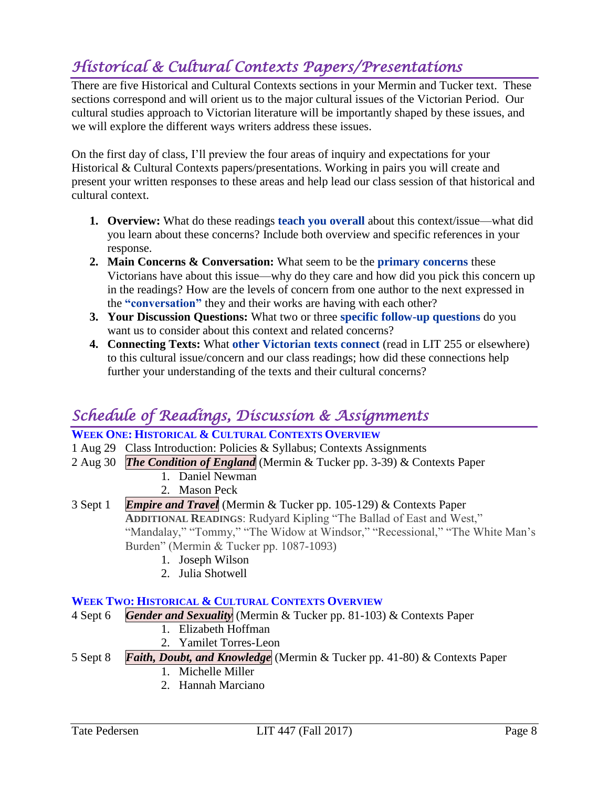## *Historical & Cultural Contexts Papers/Presentations*

There are five Historical and Cultural Contexts sections in your Mermin and Tucker text. These sections correspond and will orient us to the major cultural issues of the Victorian Period. Our cultural studies approach to Victorian literature will be importantly shaped by these issues, and we will explore the different ways writers address these issues.

On the first day of class, I'll preview the four areas of inquiry and expectations for your Historical & Cultural Contexts papers/presentations. Working in pairs you will create and present your written responses to these areas and help lead our class session of that historical and cultural context.

- **1. Overview:** What do these readings **teach you overall** about this context/issue—what did you learn about these concerns? Include both overview and specific references in your response.
- **2. Main Concerns & Conversation:** What seem to be the **primary concerns** these Victorians have about this issue—why do they care and how did you pick this concern up in the readings? How are the levels of concern from one author to the next expressed in the **"conversation"** they and their works are having with each other?
- **3. Your Discussion Questions:** What two or three **specific follow-up questions** do you want us to consider about this context and related concerns?
- **4. Connecting Texts:** What **other Victorian texts connect** (read in LIT 255 or elsewhere) to this cultural issue/concern and our class readings; how did these connections help further your understanding of the texts and their cultural concerns?

## *Schedule of Readings, Discussion & Assignments*

### **WEEK ONE: HISTORICAL & CULTURAL CONTEXTS OVERVIEW**

- 1 Aug 29 Class Introduction: Policies & Syllabus; Contexts Assignments
- 2 Aug 30 *The Condition of England* (Mermin & Tucker pp. 3-39) & Contexts Paper
	- 1. Daniel Newman
	- 2. Mason Peck
- 3 Sept 1 *Empire and Travel* (Mermin & Tucker pp. 105-129) & Contexts Paper **ADDITIONAL READINGS**: Rudyard Kipling "The Ballad of East and West," "Mandalay," "Tommy," "The Widow at Windsor," "Recessional," "The White Man's Burden" (Mermin & Tucker pp. 1087-1093)
	- 1. Joseph Wilson
	- 2. Julia Shotwell

### **WEEK TWO: HISTORICAL & CULTURAL CONTEXTS OVERVIEW**

- 4 Sept 6 *Gender and Sexuality* (Mermin & Tucker pp. 81-103) & Contexts Paper
	- 1. Elizabeth Hoffman
	- 2. Yamilet Torres-Leon
- 5 Sept 8 *Faith, Doubt, and Knowledge* (Mermin & Tucker pp. 41-80) & Contexts Paper
	- 1. Michelle Miller
	- 2. Hannah Marciano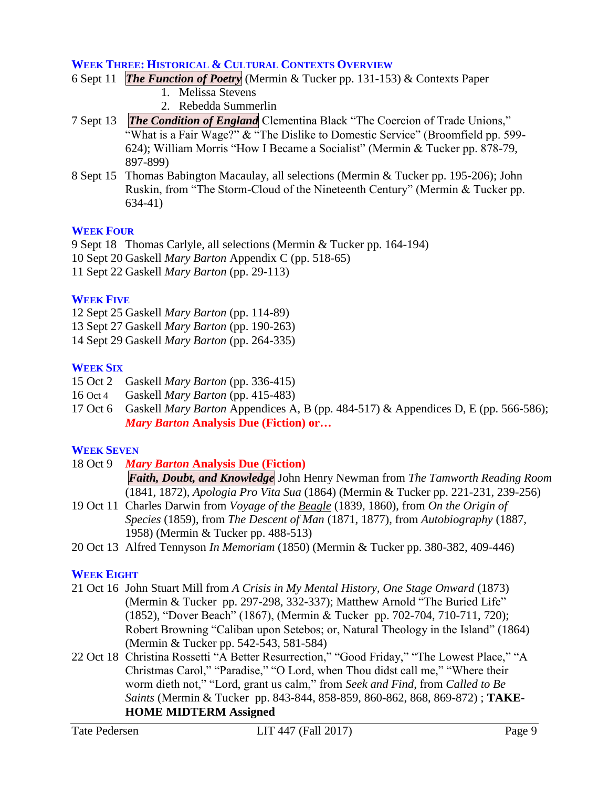#### **WEEK THREE: HISTORICAL & CULTURAL CONTEXTS OVERVIEW**

- 6 Sept 11 *The Function of Poetry* (Mermin & Tucker pp. 131-153) & Contexts Paper
	- 1. Melissa Stevens
	- 2. Rebedda Summerlin
- 7 Sept 13 *The Condition of England* Clementina Black "The Coercion of Trade Unions," "What is a Fair Wage?" & "The Dislike to Domestic Service" (Broomfield pp. 599-624); William Morris "How I Became a Socialist" (Mermin & Tucker pp. 878-79, 897-899)
- 8 Sept 15 Thomas Babington Macaulay, all selections (Mermin & Tucker pp. 195-206); John Ruskin, from "The Storm-Cloud of the Nineteenth Century" (Mermin & Tucker pp. 634-41)

#### **WEEK FOUR**

9 Sept 18 Thomas Carlyle, all selections (Mermin & Tucker pp. 164-194)

- 10 Sept 20 Gaskell *Mary Barton* Appendix C (pp. 518-65)
- 11 Sept 22 Gaskell *Mary Barton* (pp. 29-113)

### **WEEK FIVE**

- 12 Sept 25 Gaskell *Mary Barton* (pp. 114-89)
- 13 Sept 27 Gaskell *Mary Barton* (pp. 190-263)
- 14 Sept 29 Gaskell *Mary Barton* (pp. 264-335)

### **WEEK SIX**

- 15 Oct 2 Gaskell *Mary Barton* (pp. 336-415)
- 16 Oct 4 Gaskell *Mary Barton* (pp. 415-483)
- 17 Oct 6 Gaskell *Mary Barton* Appendices A, B (pp. 484-517) & Appendices D, E (pp. 566-586); *Mary Barton* **Analysis Due (Fiction) or…**

### **WEEK SEVEN**

- 18 Oct 9 *Mary Barton* **Analysis Due (Fiction)** *Faith, Doubt, and Knowledge* John Henry Newman from *The Tamworth Reading Room* (1841, 1872), *Apologia Pro Vita Sua* (1864) (Mermin & Tucker pp. 221-231, 239-256)
- 19 Oct 11 Charles Darwin from *Voyage of the Beagle* (1839, 1860), from *On the Origin of Species* (1859), from *The Descent of Man* (1871, 1877), from *Autobiography* (1887, 1958) (Mermin & Tucker pp. 488-513)
- 20 Oct 13 Alfred Tennyson *In Memoriam* (1850) (Mermin & Tucker pp. 380-382, 409-446)

### **WEEK EIGHT**

- 21 Oct 16 John Stuart Mill from *A Crisis in My Mental History, One Stage Onward* (1873) (Mermin & Tucker pp. 297-298, 332-337); Matthew Arnold "The Buried Life" (1852), "Dover Beach" (1867), (Mermin & Tucker pp. 702-704, 710-711, 720); Robert Browning "Caliban upon Setebos; or, Natural Theology in the Island" (1864) (Mermin & Tucker pp. 542-543, 581-584)
- 22 Oct 18 Christina Rossetti "A Better Resurrection," "Good Friday," "The Lowest Place," "A Christmas Carol," "Paradise," "O Lord, when Thou didst call me," "Where their worm dieth not," "Lord, grant us calm," from *Seek and Find*, from *Called to Be Saints* (Mermin & Tucker pp. 843-844, 858-859, 860-862, 868, 869-872) ; **TAKE-HOME MIDTERM Assigned**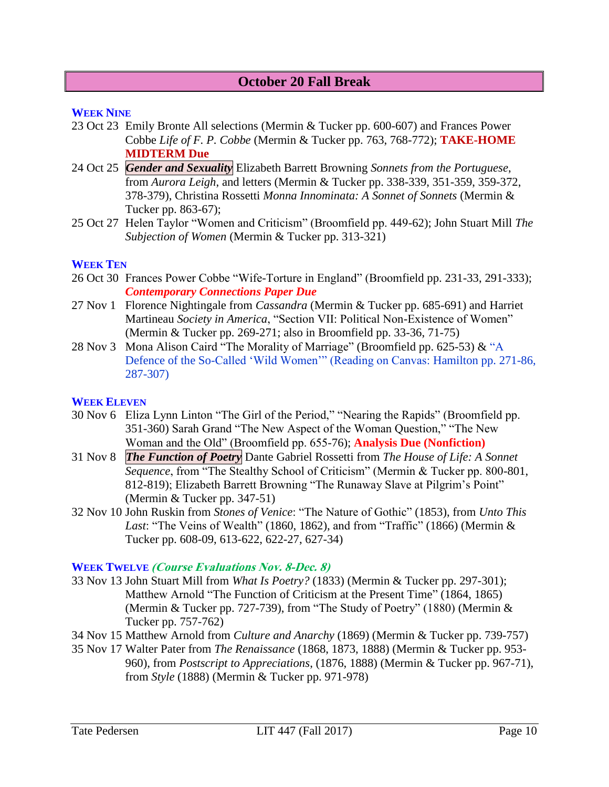### **October 20 Fall Break**

#### **WEEK NINE**

- 23 Oct 23 Emily Bronte All selections (Mermin & Tucker pp. 600-607) and Frances Power Cobbe *Life of F. P. Cobbe* (Mermin & Tucker pp. 763, 768-772); **TAKE-HOME MIDTERM Due**
- 24 Oct 25 *Gender and Sexuality* Elizabeth Barrett Browning *Sonnets from the Portuguese*, from *Aurora Leigh*, and letters (Mermin & Tucker pp. 338-339, 351-359, 359-372, 378-379), Christina Rossetti *Monna Innominata: A Sonnet of Sonnets* (Mermin & Tucker pp. 863-67);
- 25 Oct 27 Helen Taylor "Women and Criticism" (Broomfield pp. 449-62); John Stuart Mill *The Subjection of Women* (Mermin & Tucker pp. 313-321)

#### **WEEK TEN**

- 26 Oct 30 Frances Power Cobbe "Wife-Torture in England" (Broomfield pp. 231-33, 291-333); *Contemporary Connections Paper Due*
- 27 Nov 1 Florence Nightingale from *Cassandra* (Mermin & Tucker pp. 685-691) and Harriet Martineau *Society in America*, "Section VII: Political Non-Existence of Women" (Mermin & Tucker pp. 269-271; also in Broomfield pp. 33-36, 71-75)
- 28 Nov 3 Mona Alison Caird "The Morality of Marriage" (Broomfield pp. 625-53) & "A Defence of the So-Called 'Wild Women'" (Reading on Canvas: Hamilton pp. 271-86, 287-307)

#### **WEEK ELEVEN**

- 30 Nov 6 Eliza Lynn Linton "The Girl of the Period," "Nearing the Rapids" (Broomfield pp. 351-360) Sarah Grand "The New Aspect of the Woman Question," "The New Woman and the Old" (Broomfield pp. 655-76); **Analysis Due (Nonfiction)**
- 31 Nov 8 *The Function of Poetry* Dante Gabriel Rossetti from *The House of Life: A Sonnet Sequence*, from "The Stealthy School of Criticism" (Mermin & Tucker pp. 800-801, 812-819); Elizabeth Barrett Browning "The Runaway Slave at Pilgrim's Point" (Mermin & Tucker pp. 347-51)
- 32 Nov 10 John Ruskin from *Stones of Venice*: "The Nature of Gothic" (1853), from *Unto This Last*: "The Veins of Wealth" (1860, 1862), and from "Traffic" (1866) (Mermin & Tucker pp. 608-09, 613-622, 622-27, 627-34)

#### **WEEK TWELVE (Course Evaluations Nov. 8-Dec. 8)**

- 33 Nov 13 John Stuart Mill from *What Is Poetry?* (1833) (Mermin & Tucker pp. 297-301); Matthew Arnold "The Function of Criticism at the Present Time" (1864, 1865) (Mermin & Tucker pp. 727-739), from "The Study of Poetry" (1880) (Mermin & Tucker pp. 757-762)
- 34 Nov 15 Matthew Arnold from *Culture and Anarchy* (1869) (Mermin & Tucker pp. 739-757)
- 35 Nov 17 Walter Pater from *The Renaissance* (1868, 1873, 1888) (Mermin & Tucker pp. 953- 960), from *Postscript to Appreciations*, (1876, 1888) (Mermin & Tucker pp. 967-71), from *Style* (1888) (Mermin & Tucker pp. 971-978)